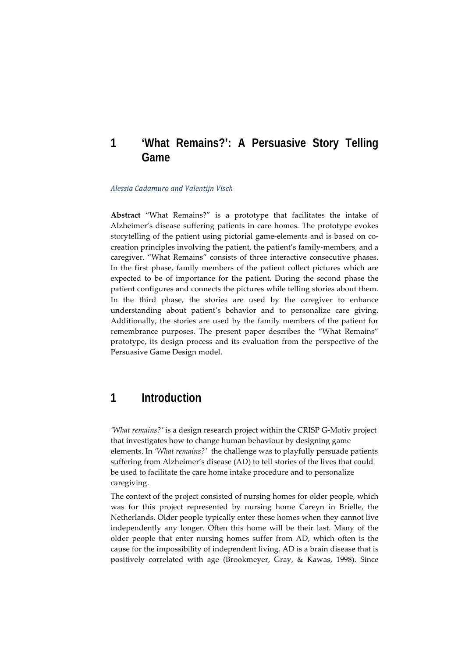# **1 'What Remains?': A Persuasive Story Telling Game**

#### *Alessia Cadamuro and Valentijn Visch*

**Abstract** "What Remains?" is a prototype that facilitates the intake of Alzheimer's disease suffering patients in care homes. The prototype evokes storytelling of the patient using pictorial game-elements and is based on cocreation principles involving the patient, the patient's family-members, and a caregiver. "What Remains" consists of three interactive consecutive phases. In the first phase, family members of the patient collect pictures which are expected to be of importance for the patient. During the second phase the patient configures and connects the pictures while telling stories about them. In the third phase, the stories are used by the caregiver to enhance understanding about patient's behavior and to personalize care giving. Additionally, the stories are used by the family members of the patient for remembrance purposes. The present paper describes the "What Remains" prototype, its design process and its evaluation from the perspective of the Persuasive Game Design model.

### **1 Introduction**

*'What remains?'* is a design research project within the CRISP G-Motiv project that investigates how to change human behaviour by designing game elements. In *'What remains?'* the challenge was to playfully persuade patients suffering from Alzheimer's disease (AD) to tell stories of the lives that could be used to facilitate the care home intake procedure and to personalize caregiving.

The context of the project consisted of nursing homes for older people, which was for this project represented by nursing home Careyn in Brielle, the Netherlands. Older people typically enter these homes when they cannot live independently any longer. Often this home will be their last. Many of the older people that enter nursing homes suffer from AD, which often is the cause for the impossibility of independent living. AD is a brain disease that is positively correlated with age (Brookmeyer, Gray, & Kawas, 1998). Since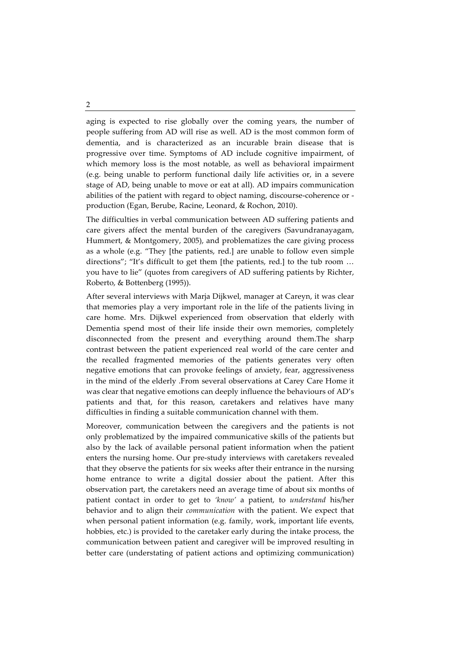aging is expected to rise globally over the coming years, the number of people suffering from AD will rise as well. AD is the most common form of dementia, and is characterized as an incurable brain disease that is progressive over time. Symptoms of AD include cognitive impairment, of which memory loss is the most notable, as well as behavioral impairment (e.g. being unable to perform functional daily life activities or, in a severe stage of AD, being unable to move or eat at all). AD impairs communication abilities of the patient with regard to object naming, discourse-coherence or production (Egan, Berube, Racine, Leonard, & Rochon, 2010).

The difficulties in verbal communication between AD suffering patients and care givers affect the mental burden of the caregivers (Savundranayagam, Hummert, & Montgomery, 2005), and problematizes the care giving process as a whole (e.g. "They [the patients, red.] are unable to follow even simple directions"; "It's difficult to get them [the patients, red.] to the tub room … you have to lie" (quotes from caregivers of AD suffering patients by Richter, Roberto, & Bottenberg (1995)).

After several interviews with Marja Dijkwel, manager at Careyn, it was clear that memories play a very important role in the life of the patients living in care home. Mrs. Dijkwel experienced from observation that elderly with Dementia spend most of their life inside their own memories, completely disconnected from the present and everything around them.The sharp contrast between the patient experienced real world of the care center and the recalled fragmented memories of the patients generates very often negative emotions that can provoke feelings of anxiety, fear, aggressiveness in the mind of the elderly .From several observations at Carey Care Home it was clear that negative emotions can deeply influence the behaviours of AD's patients and that, for this reason, caretakers and relatives have many difficulties in finding a suitable communication channel with them.

Moreover, communication between the caregivers and the patients is not only problematized by the impaired communicative skills of the patients but also by the lack of available personal patient information when the patient enters the nursing home. Our pre-study interviews with caretakers revealed that they observe the patients for six weeks after their entrance in the nursing home entrance to write a digital dossier about the patient. After this observation part, the caretakers need an average time of about six months of patient contact in order to get to *'know'* a patient, to *understand* his/her behavior and to align their *communication* with the patient. We expect that when personal patient information (e.g. family, work, important life events, hobbies, etc.) is provided to the caretaker early during the intake process, the communication between patient and caregiver will be improved resulting in better care (understating of patient actions and optimizing communication)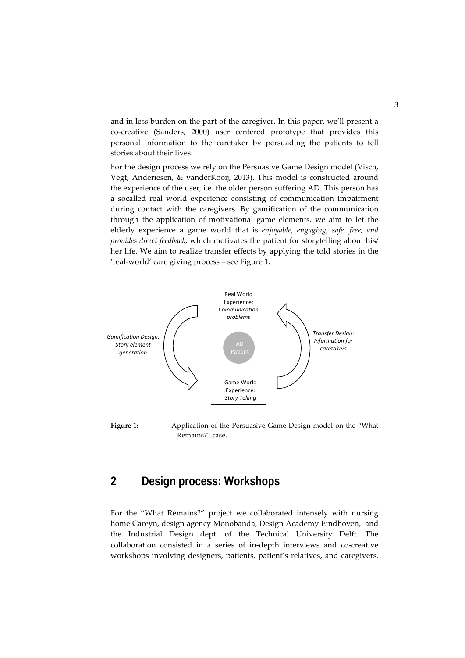and in less burden on the part of the caregiver. In this paper, we'll present a co-creative (Sanders, 2000) user centered prototype that provides this personal information to the caretaker by persuading the patients to tell stories about their lives.

For the design process we rely on the Persuasive Game Design model (Visch, Vegt, Anderiesen, & vanderKooij, 2013). This model is constructed around the experience of the user, i.e. the older person suffering AD. This person has a socalled real world experience consisting of communication impairment during contact with the caregivers. By gamification of the communication through the application of motivational game elements, we aim to let the elderly experience a game world that is *enjoyable*, *engaging, safe, free, and provides direct feedback*, which motivates the patient for storytelling about his/ her life. We aim to realize transfer effects by applying the told stories in the 'real-world' care giving process – see Figure 1.



**Figure 1:** Application of the Persuasive Game Design model on the "What Remains?" case.

## **2 Design process: Workshops**

For the "What Remains?" project we collaborated intensely with nursing home Careyn, design agency Monobanda, Design Academy Eindhoven, and the Industrial Design dept. of the Technical University Delft. The collaboration consisted in a series of in-depth interviews and co-creative workshops involving designers, patients, patient's relatives, and caregivers.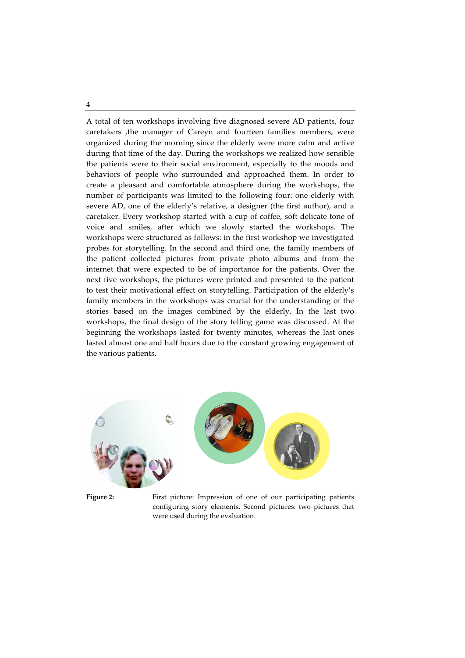A total of ten workshops involving five diagnosed severe AD patients, four caretakers ,the manager of Careyn and fourteen families members, were organized during the morning since the elderly were more calm and active during that time of the day. During the workshops we realized how sensible the patients were to their social environment, especially to the moods and behaviors of people who surrounded and approached them. In order to create a pleasant and comfortable atmosphere during the workshops, the number of participants was limited to the following four: one elderly with severe AD, one of the elderly's relative, a designer (the first author), and a caretaker. Every workshop started with a cup of coffee, soft delicate tone of voice and smiles, after which we slowly started the workshops. The workshops were structured as follows: in the first workshop we investigated probes for storytelling. In the second and third one, the family members of the patient collected pictures from private photo albums and from the internet that were expected to be of importance for the patients. Over the next five workshops, the pictures were printed and presented to the patient to test their motivational effect on storytelling. Participation of the elderly's family members in the workshops was crucial for the understanding of the stories based on the images combined by the elderly. In the last two workshops, the final design of the story telling game was discussed. At the beginning the workshops lasted for twenty minutes, whereas the last ones lasted almost one and half hours due to the constant growing engagement of the various patients.





**Figure 2:** First picture: Impression of one of our participating patients configuring story elements. Second pictures: two pictures that were used during the evaluation.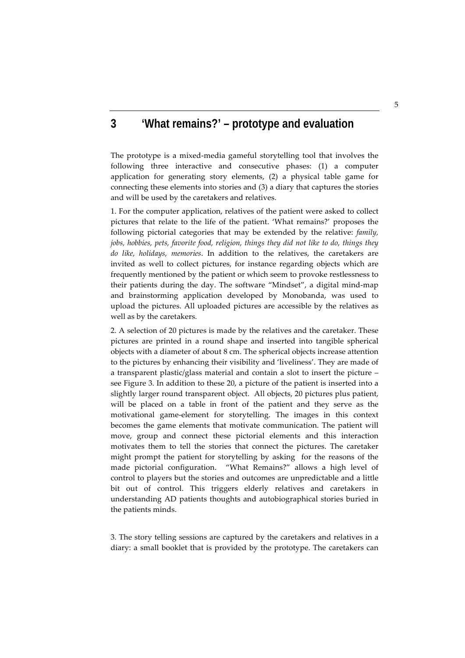#### **3 'What remains?' – prototype and evaluation**

The prototype is a mixed-media gameful storytelling tool that involves the following three interactive and consecutive phases: (1) a computer application for generating story elements, (2) a physical table game for connecting these elements into stories and (3) a diary that captures the stories and will be used by the caretakers and relatives.

1. For the computer application, relatives of the patient were asked to collect pictures that relate to the life of the patient. 'What remains?' proposes the following pictorial categories that may be extended by the relative: *family, jobs, hobbies, pets, favorite food, religion, things they did not like to do, things they do like, holidays, memories*. In addition to the relatives, the caretakers are invited as well to collect pictures, for instance regarding objects which are frequently mentioned by the patient or which seem to provoke restlessness to their patients during the day. The software "Mindset", a digital mind-map and brainstorming application developed by Monobanda, was used to upload the pictures. All uploaded pictures are accessible by the relatives as well as by the caretakers.

2. A selection of 20 pictures is made by the relatives and the caretaker. These pictures are printed in a round shape and inserted into tangible spherical objects with a diameter of about 8 cm. The spherical objects increase attention to the pictures by enhancing their visibility and 'liveliness'. They are made of a transparent plastic/glass material and contain a slot to insert the picture – see Figure 3. In addition to these 20, a picture of the patient is inserted into a slightly larger round transparent object. All objects, 20 pictures plus patient, will be placed on a table in front of the patient and they serve as the motivational game-element for storytelling. The images in this context becomes the game elements that motivate communication. The patient will move, group and connect these pictorial elements and this interaction motivates them to tell the stories that connect the pictures. The caretaker might prompt the patient for storytelling by asking for the reasons of the made pictorial configuration. "What Remains?" allows a high level of control to players but the stories and outcomes are unpredictable and a little bit out of control. This triggers elderly relatives and caretakers in understanding AD patients thoughts and autobiographical stories buried in the patients minds.

3. The story telling sessions are captured by the caretakers and relatives in a diary: a small booklet that is provided by the prototype. The caretakers can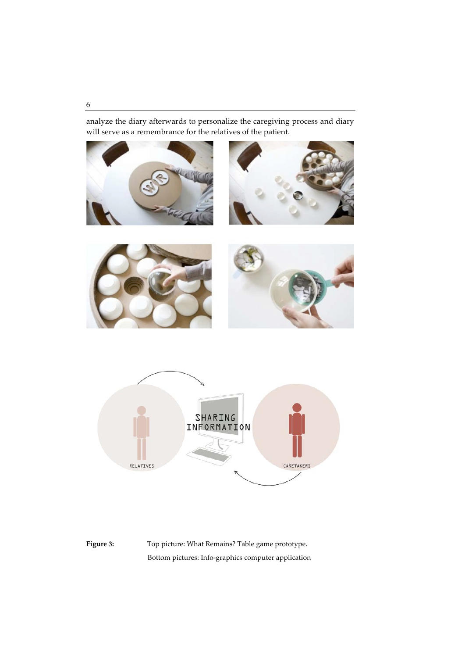analyze the diary afterwards to personalize the caregiving process and diary will serve as a remembrance for the relatives of the patient.



**Figure 3:** Top picture: What Remains? Table game prototype. Bottom pictures: Info-graphics computer application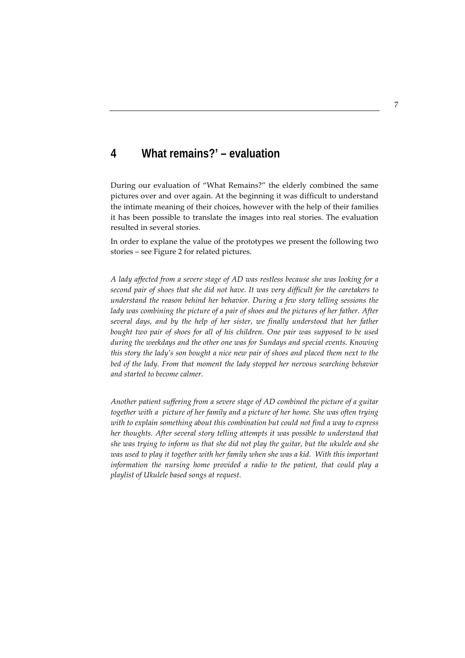### **4 What remains?' – evaluation**

During our evaluation of "What Remains?" the elderly combined the same pictures over and over again. At the beginning it was difficult to understand the intimate meaning of their choices, however with the help of their families it has been possible to translate the images into real stories. The evaluation resulted in several stories.

In order to explane the value of the prototypes we present the following two stories – see Figure 2 for related pictures.

*A lady affected from a severe stage of AD was restless because she was looking for a second pair of shoes that she did not have. It was very difficult for the caretakers to understand the reason behind her behavior. During a few story telling sessions the lady was combining the picture of a pair of shoes and the pictures of her father. After several days, and by the help of her sister, we finally understood that her father bought two pair of shoes for all of his children. One pair was supposed to be used during the weekdays and the other one was for Sundays and special events. Knowing this story the lady's son bought a nice new pair of shoes and placed them next to the bed of the lady. From that moment the lady stopped her nervous searching behavior and started to become calmer.*

*Another patient suffering from a severe stage of AD combined the picture of a guitar together with a picture of her family and a picture of her home. She was often trying with to explain something about this combination but could not find a way to express her thoughts. After several story telling attempts it was possible to understand that she was trying to inform us that she did not play the guitar, but the ukulele and she was used to play it together with her family when she was a kid. With this important information the nursing home provided a radio to the patient, that could play a playlist of Ukulele based songs at request.*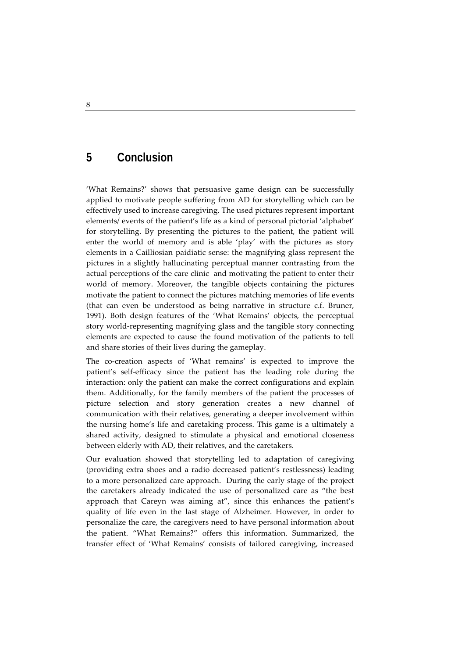## **5 Conclusion**

'What Remains?' shows that persuasive game design can be successfully applied to motivate people suffering from AD for storytelling which can be effectively used to increase caregiving. The used pictures represent important elements/ events of the patient's life as a kind of personal pictorial 'alphabet' for storytelling. By presenting the pictures to the patient, the patient will enter the world of memory and is able 'play' with the pictures as story elements in a Cailliosian paidiatic sense: the magnifying glass represent the pictures in a slightly hallucinating perceptual manner contrasting from the actual perceptions of the care clinic and motivating the patient to enter their world of memory. Moreover, the tangible objects containing the pictures motivate the patient to connect the pictures matching memories of life events (that can even be understood as being narrative in structure c.f. Bruner, 1991). Both design features of the 'What Remains' objects, the perceptual story world-representing magnifying glass and the tangible story connecting elements are expected to cause the found motivation of the patients to tell and share stories of their lives during the gameplay.

The co-creation aspects of 'What remains' is expected to improve the patient's self-efficacy since the patient has the leading role during the interaction: only the patient can make the correct configurations and explain them. Additionally, for the family members of the patient the processes of picture selection and story generation creates a new channel of communication with their relatives, generating a deeper involvement within the nursing home's life and caretaking process. This game is a ultimately a shared activity, designed to stimulate a physical and emotional closeness between elderly with AD, their relatives, and the caretakers.

Our evaluation showed that storytelling led to adaptation of caregiving (providing extra shoes and a radio decreased patient's restlessness) leading to a more personalized care approach. During the early stage of the project the caretakers already indicated the use of personalized care as "the best approach that Careyn was aiming at", since this enhances the patient's quality of life even in the last stage of Alzheimer. However, in order to personalize the care, the caregivers need to have personal information about the patient. "What Remains?" offers this information. Summarized, the transfer effect of 'What Remains' consists of tailored caregiving, increased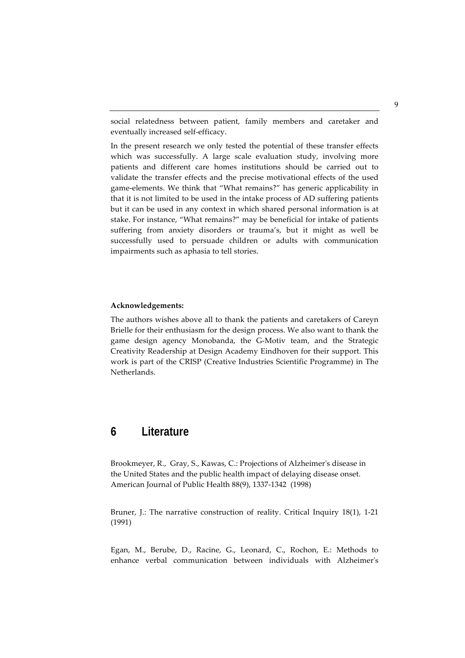social relatedness between patient, family members and caretaker and eventually increased self-efficacy.

In the present research we only tested the potential of these transfer effects which was successfully. A large scale evaluation study, involving more patients and different care homes institutions should be carried out to validate the transfer effects and the precise motivational effects of the used game-elements. We think that "What remains?" has generic applicability in that it is not limited to be used in the intake process of AD suffering patients but it can be used in any context in which shared personal information is at stake. For instance, "What remains?" may be beneficial for intake of patients suffering from anxiety disorders or trauma's, but it might as well be successfully used to persuade children or adults with communication impairments such as aphasia to tell stories.

#### **Acknowledgements:**

The authors wishes above all to thank the patients and caretakers of Careyn Brielle for their enthusiasm for the design process. We also want to thank the game design agency Monobanda, the G-Motiv team, and the Strategic Creativity Readership at Design Academy Eindhoven for their support. This work is part of the CRISP (Creative Industries Scientific Programme) in The Netherlands.

#### **6 Literature**

Brookmeyer, R., Gray, S., Kawas, C.: Projections of Alzheimer's disease in the United States and the public health impact of delaying disease onset. American Journal of Public Health 88(9), 1337-1342 (1998)

Bruner, J.: The narrative construction of reality. Critical Inquiry 18(1), 1-21 (1991)

Egan, M., Berube, D., Racine, G., Leonard, C., Rochon, E.: Methods to enhance verbal communication between individuals with Alzheimer's